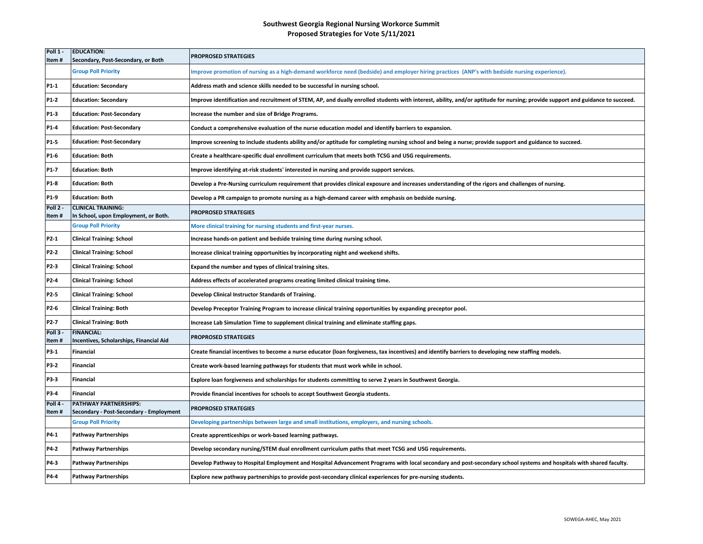## **Southwest Georgia Regional Nursing Workorce Summit Proposed Strategies for Vote 5/11/2021**

| Poll 1 -<br>Item# | <b>EDUCATION:</b><br>Secondary, Post-Secondary, or Both           | <b>PROPROSED STRATEGIES</b>                                                                                                                                                    |
|-------------------|-------------------------------------------------------------------|--------------------------------------------------------------------------------------------------------------------------------------------------------------------------------|
|                   | <b>Group Poll Priority</b>                                        | Improve promotion of nursing as a high-demand workforce need (bedside) and employer hiring practices (ANP's with bedside nursing experience).                                  |
| P1-1              | <b>Education: Secondary</b>                                       | Address math and science skills needed to be successful in nursing school.                                                                                                     |
| P1-2              | <b>Education: Secondary</b>                                       | Improve identification and recruitment of STEM, AP, and dually enrolled students with interest, ability, and/or aptitude for nursing; provide support and guidance to succeed. |
| P1-3              | <b>Education: Post-Secondary</b>                                  | Increase the number and size of Bridge Programs.                                                                                                                               |
| P1-4              | <b>Education: Post-Secondary</b>                                  | Conduct a comprehensive evaluation of the nurse education model and identify barriers to expansion.                                                                            |
| P1-5              | <b>Education: Post-Secondary</b>                                  | Improve screening to include students ability and/or aptitude for completing nursing school and being a nurse; provide support and guidance to succeed.                        |
| P1-6              | <b>Education: Both</b>                                            | Create a healthcare-specific dual enrollment curriculum that meets both TCSG and USG requirements.                                                                             |
| P1-7              | <b>Education: Both</b>                                            | Improve identifying at-risk students' interested in nursing and provide support services.                                                                                      |
| P1-8              | <b>Education: Both</b>                                            | Develop a Pre-Nursing curriculum requirement that provides clinical exposure and increases understanding of the rigors and challenges of nursing.                              |
| P1-9              | <b>Education: Both</b>                                            | Develop a PR campaign to promote nursing as a high-demand career with emphasis on bedside nursing.                                                                             |
| Poll 2 -<br>Item# | <b>CLINICAL TRAINING:</b><br>In School, upon Employment, or Both. | <b>PROPROSED STRATEGIES</b>                                                                                                                                                    |
|                   | <b>Group Poll Priority</b>                                        | More clinical training for nursing students and first-year nurses.                                                                                                             |
| P2-1              | <b>Clinical Training: School</b>                                  | Increase hands-on patient and bedside training time during nursing school.                                                                                                     |
| P2-2              | <b>Clinical Training: School</b>                                  | Increase clinical training opportunities by incorporating night and weekend shifts.                                                                                            |
| P2-3              | <b>Clinical Training: School</b>                                  | Expand the number and types of clinical training sites.                                                                                                                        |
| P2-4              | <b>Clinical Training: School</b>                                  | Address effects of accelerated programs creating limited clinical training time.                                                                                               |
| P2-5              | <b>Clinical Training: School</b>                                  | Develop Clinical Instructor Standards of Training.                                                                                                                             |
| P2-6              | <b>Clinical Training: Both</b>                                    | Develop Preceptor Training Program to increase clinical training opportunities by expanding preceptor pool.                                                                    |
| P2-7              | <b>Clinical Training: Both</b>                                    | Increase Lab Simulation Time to supplement clinical training and eliminate staffing gaps.                                                                                      |
| Poll 3.<br>ltem # | <b>FINANCIAL:</b><br>Incentives, Scholarships, Financial Aid      | <b>PROPROSED STRATEGIES</b>                                                                                                                                                    |
| P3-1              | Financial                                                         | Create financial incentives to become a nurse educator (loan forgiveness, tax incentives) and identify barriers to developing new staffing models.                             |
| P3-2              | Financial                                                         | Create work-based learning pathways for students that must work while in school.                                                                                               |
| P3-3              | Financial                                                         | Explore loan forgiveness and scholarships for students committing to serve 2 years in Southwest Georgia.                                                                       |
| P3-4              | Financial                                                         | Provide financial incentives for schools to accept Southwest Georgia students.                                                                                                 |
| Poll 4<br>Item#   | PATHWAY PARTNERSHIPS:<br>Secondary - Post-Secondary - Employment  | <b>PROPROSED STRATEGIES</b>                                                                                                                                                    |
|                   | <b>Group Poll Priority</b>                                        | Developing partnerships between large and small institutions, employers, and nursing schools.                                                                                  |
| P4-1              | <b>Pathway Partnerships</b>                                       | Create apprenticeships or work-based learning pathways.                                                                                                                        |
| P4-2              | <b>Pathway Partnerships</b>                                       | Develop secondary nursing/STEM dual enrollment curriculum paths that meet TCSG and USG requirements.                                                                           |
| P4-3              | <b>Pathway Partnerships</b>                                       | Develop Pathway to Hospital Employment and Hospital Advancement Programs with local secondary and post-secondary school systems and hospitals with shared faculty.             |
| P4-4              | <b>Pathway Partnerships</b>                                       | Explore new pathway partnerships to provide post-secondary clinical experiences for pre-nursing students.                                                                      |